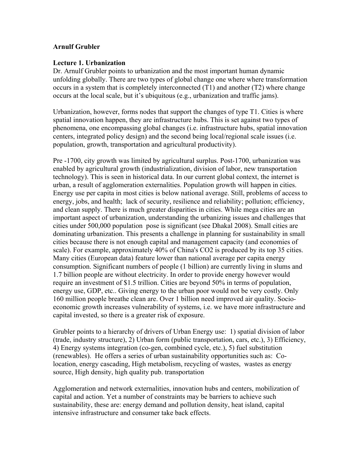## **Arnulf Grubler**

## **Lecture 1. Urbanization**

Dr. Arnulf Grubler points to urbanization and the most important human dynamic unfolding globally. There are two types of global change one where where transformation occurs in a system that is completely interconnected (T1) and another (T2) where change occurs at the local scale, but it's ubiquitous (e.g., urbanization and traffic jams).

Urbanization, however, forms nodes that support the changes of type T1. Cities is where spatial innovation happen, they are infrastructure hubs. This is set against two types of phenomena, one encompassing global changes (i.e. infrastructure hubs, spatial innovation centers, integrated policy design) and the second being local/regional scale issues (i.e. population, growth, transportation and agricultural productivity).

Pre -1700, city growth was limited by agricultural surplus. Post-1700, urbanization was enabled by agricultural growth (industrialization, division of labor, new transportation technology). This is seen in historical data. In our current global context, the internet is urban, a result of agglomeration externalities. Population growth will happen in cities. Energy use per capita in most cities is below national average. Still, problems of access to energy, jobs, and health; lack of security, resilience and reliability; pollution; efficiency, and clean supply. There is much greater disparities in cities. While mega cities are an important aspect of urbanization, understanding the urbanizing issues and challenges that cities under 500,000 population pose is significant (see Dhakal 2008). Small cities are dominating urbanization. This presents a challenge in planning for sustainability in small cities because there is not enough capital and management capacity (and economies of scale). For example, approximately 40% of China's CO2 is produced by its top 35 cities. Many cities (European data) feature lower than national average per capita energy consumption. Significant numbers of people (1 billion) are currently living in slums and 1.7 billion people are without electricity. In order to provide energy however would require an investment of \$1.5 trillion. Cities are beyond 50% in terms of population, energy use, GDP, etc.. Giving energy to the urban poor would not be very costly. Only 160 million people breathe clean are. Over 1 billion need improved air quality. Socioeconomic growth increases vulnerability of systems, i.e. we have more infrastructure and capital invested, so there is a greater risk of exposure.

Grubler points to a hierarchy of drivers of Urban Energy use: 1) spatial division of labor (trade, industry structure), 2) Urban form (public transportation, cars, etc.), 3) Efficiency, 4) Energy systems integration (co-gen, combined cycle, etc.), 5) fuel substitution (renewables). He offers a series of urban sustainability opportunities such as: Colocation, energy cascading, High metabolism, recycling of wastes, wastes as energy source, High density, high quality pub. transportation

Agglomeration and network externalities, innovation hubs and centers, mobilization of capital and action. Yet a number of constraints may be barriers to achieve such sustainability, these are: energy demand and pollution density, heat island, capital intensive infrastructure and consumer take back effects.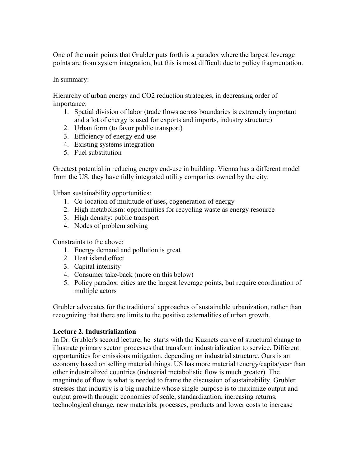One of the main points that Grubler puts forth is a paradox where the largest leverage points are from system integration, but this is most difficult due to policy fragmentation.

In summary:

Hierarchy of urban energy and CO2 reduction strategies, in decreasing order of importance:

- 1. Spatial division of labor (trade flows across boundaries is extremely important and a lot of energy is used for exports and imports, industry structure)
- 2. Urban form (to favor public transport)
- 3. Efficiency of energy end-use
- 4. Existing systems integration
- 5. Fuel substitution

Greatest potential in reducing energy end-use in building. Vienna has a different model from the US, they have fully integrated utility companies owned by the city.

Urban sustainability opportunities:

- 1. Co-location of multitude of uses, cogeneration of energy
- 2. High metabolism: opportunities for recycling waste as energy resource
- 3. High density: public transport
- 4. Nodes of problem solving

Constraints to the above:

- 1. Energy demand and pollution is great
- 2. Heat island effect
- 3. Capital intensity
- 4. Consumer take-back (more on this below)
- 5. Policy paradox: cities are the largest leverage points, but require coordination of multiple actors

Grubler advocates for the traditional approaches of sustainable urbanization, rather than recognizing that there are limits to the positive externalities of urban growth.

## **Lecture 2. Industrialization**

In Dr. Grubler's second lecture, he starts with the Kuznets curve of structural change to illustrate primary sector processes that transform industrialization to service. Different opportunities for emissions mitigation, depending on industrial structure. Ours is an economy based on selling material things. US has more material+energy/capita/year than other industrialized countries (industrial metabolistic flow is much greater). The magnitude of flow is what is needed to frame the discussion of sustainability. Grubler stresses that industry is a big machine whose single purpose is to maximize output and output growth through: economies of scale, standardization, increasing returns, technological change, new materials, processes, products and lower costs to increase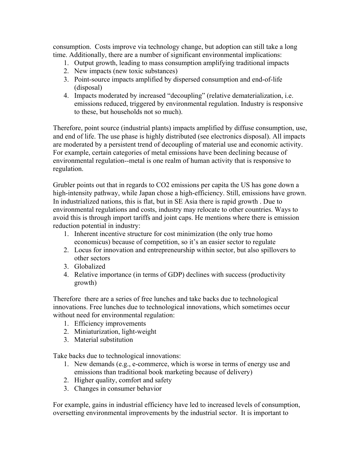consumption. Costs improve via technology change, but adoption can still take a long time. Additionally, there are a number of significant environmental implications:

- 1. Output growth, leading to mass consumption amplifying traditional impacts
- 2. New impacts (new toxic substances)
- 3. Point-source impacts amplified by dispersed consumption and end-of-life (disposal)
- 4. Impacts moderated by increased "decoupling" (relative dematerialization, i.e. emissions reduced, triggered by environmental regulation. Industry is responsive to these, but households not so much).

Therefore, point source (industrial plants) impacts amplified by diffuse consumption, use, and end of life. The use phase is highly distributed (see electronics disposal). All impacts are moderated by a persistent trend of decoupling of material use and economic activity. For example, certain categories of metal emissions have been declining because of environmental regulation--metal is one realm of human activity that is responsive to regulation.

Grubler points out that in regards to CO2 emissions per capita the US has gone down a high-intensity pathway, while Japan chose a high-efficiency. Still, emissions have grown. In industrialized nations, this is flat, but in SE Asia there is rapid growth . Due to environmental regulations and costs, industry may relocate to other countries. Ways to avoid this is through import tariffs and joint caps. He mentions where there is emission reduction potential in industry:

- 1. Inherent incentive structure for cost minimization (the only true homo economicus) because of competition, so it's an easier sector to regulate
- 2. Locus for innovation and entrepreneurship within sector, but also spillovers to other sectors
- 3. Globalized
- 4. Relative importance (in terms of GDP) declines with success (productivity growth)

Therefore there are a series of free lunches and take backs due to technological innovations. Free lunches due to technological innovations, which sometimes occur without need for environmental regulation:

- 1. Efficiency improvements
- 2. Miniaturization, light-weight
- 3. Material substitution

Take backs due to technological innovations:

- 1. New demands (e.g., e-commerce, which is worse in terms of energy use and emissions than traditional book marketing because of delivery)
- 2. Higher quality, comfort and safety
- 3. Changes in consumer behavior

For example, gains in industrial efficiency have led to increased levels of consumption, oversetting environmental improvements by the industrial sector. It is important to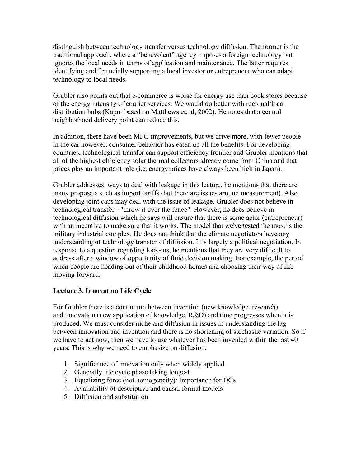distinguish between technology transfer versus technology diffusion. The former is the traditional approach, where a "benevolent" agency imposes a foreign technology but ignores the local needs in terms of application and maintenance. The latter requires identifying and financially supporting a local investor or entrepreneur who can adapt technology to local needs.

Grubler also points out that e-commerce is worse for energy use than book stores because of the energy intensity of courier services. We would do better with regional/local distribution hubs (Kapur based on Matthews et. al, 2002). He notes that a central neighborhood delivery point can reduce this.

In addition, there have been MPG improvements, but we drive more, with fewer people in the car however, consumer behavior has eaten up all the benefits. For developing countries, technological transfer can support efficiency frontier and Grubler mentions that all of the highest efficiency solar thermal collectors already come from China and that prices play an important role (i.e. energy prices have always been high in Japan).

Grubler addresses ways to deal with leakage in this lecture, he mentions that there are many proposals such as import tariffs (but there are issues around measurement). Also developing joint caps may deal with the issue of leakage. Grubler does not believe in technological transfer - "throw it over the fence". However, he does believe in technological diffusion which he says will ensure that there is some actor (entrepreneur) with an incentive to make sure that it works. The model that we've tested the most is the military industrial complex. He does not think that the climate negotiators have any understanding of technology transfer of diffusion. It is largely a political negotiation. In response to a question regarding lock-ins, he mentions that they are very difficult to address after a window of opportunity of fluid decision making. For example, the period when people are heading out of their childhood homes and choosing their way of life moving forward.

## **Lecture 3. Innovation Life Cycle**

For Grubler there is a continuum between invention (new knowledge, research) and innovation (new application of knowledge, R&D) and time progresses when it is produced. We must consider niche and diffusion in issues in understanding the lag between innovation and invention and there is no shortening of stochastic variation. So if we have to act now, then we have to use whatever has been invented within the last 40 years. This is why we need to emphasize on diffusion:

- 1. Significance of innovation only when widely applied
- 2. Generally life cycle phase taking longest
- 3. Equalizing force (not homogeneity): Importance for DCs
- 4. Availability of descriptive and causal formal models
- 5. Diffusion and substitution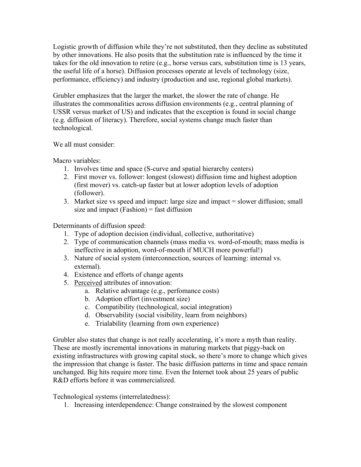Logistic growth of diffusion while they're not substituted, then they decline as substituted by other innovations. He also posits that the substitution rate is influenced by the time it takes for the old innovation to retire (e.g., horse versus cars, substitution time is 13 years, the useful life of a horse). Diffusion processes operate at levels of technology (size, performance, efficiency) and industry (production and use, regional global markets).

Grubler emphasizes that the larger the market, the slower the rate of change. He illustrates the commonalities across diffusion environments (e.g., central planning of USSR versus market of US) and indicates that the exception is found in social change (e.g. diffusion of literacy). Therefore, social systems change much faster than technological.

We all must consider:

Macro variables<sup>.</sup>

- 1. Involves time and space (S-curve and spatial hierarchy centers)
- 2. First mover vs. follower: longest (slowest) diffusion time and highest adoption (first mover) vs. catch-up faster but at lower adoption levels of adoption (follower).
- 3. Market size vs speed and impact: large size and impact = slower diffusion; small size and impact  $(Fashion) = fast diffusion$

Determinants of diffusion speed:

- 1. Type of adoption decision (individual, collective, authoritative)
- 2. Type of communication channels (mass media vs. word-of-mouth; mass media is ineffective in adoption, word-of-mouth if MUCH more powerful!)
- 3. Nature of social system (interconnection, sources of learning: internal vs. external).
- 4. Existence and efforts of change agents
- 5. Perceived attributes of innovation:
	- a. Relative advantage (e.g., perfomance costs)
	- b. Adoption effort (investment size)
	- c. Compatibility (technological, social integration)
	- d. Observability (social visibility, learn from neighbors)
	- e. Trialability (learning from own experience)

Grubler also states that change is not really accelerating, it's more a myth than reality. These are mostly incremental innovations in maturing markets that piggy-back on existing infrastructures with growing capital stock, so there's more to change which gives the impression that change is faster. The basic diffusion patterns in time and space remain unchanged. Big hits require more time. Even the Internet took about 25 years of public R&D efforts before it was commercialized.

Technological systems (interrelatedness):

1. Increasing interdependence: Change constrained by the slowest component